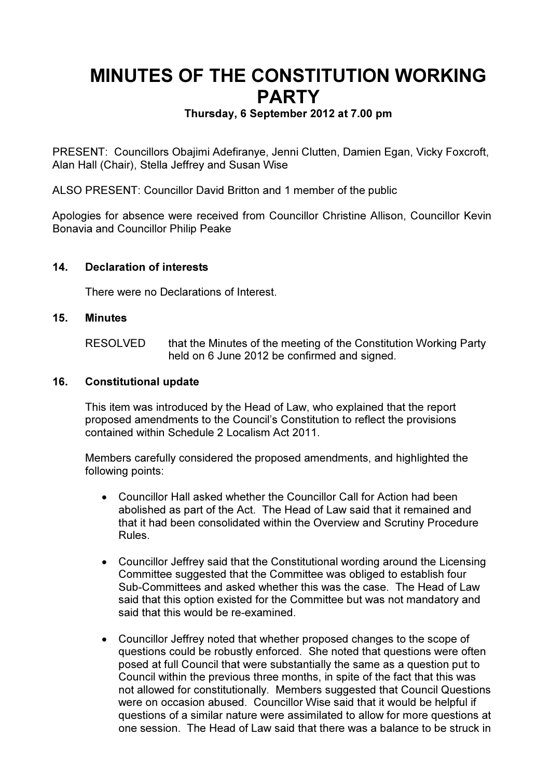# MINUTES OF THE CONSTITUTION WORKING **PARTY**

# Thursday, 6 September 2012 at 7.00 pm

PRESENT: Councillors Obajimi Adefiranye, Jenni Clutten, Damien Egan, Vicky Foxcroft, Alan Hall (Chair), Stella Jeffrey and Susan Wise

ALSO PRESENT: Councillor David Britton and 1 member of the public

Apologies for absence were received from Councillor Christine Allison, Councillor Kevin Bonavia and Councillor Philip Peake

# 14. Declaration of interests

There were no Declarations of Interest.

#### 15. Minutes

RESOLVED that the Minutes of the meeting of the Constitution Working Party held on 6 June 2012 be confirmed and signed.

#### 16. Constitutional update

This item was introduced by the Head of Law, who explained that the report proposed amendments to the Council's Constitution to reflect the provisions contained within Schedule 2 Localism Act 2011.

Members carefully considered the proposed amendments, and highlighted the following points:

- Councillor Hall asked whether the Councillor Call for Action had been abolished as part of the Act. The Head of Law said that it remained and that it had been consolidated within the Overview and Scrutiny Procedure Rules.
- Councillor Jeffrey said that the Constitutional wording around the Licensing Committee suggested that the Committee was obliged to establish four Sub-Committees and asked whether this was the case. The Head of Law said that this option existed for the Committee but was not mandatory and said that this would be re-examined.
- Councillor Jeffrey noted that whether proposed changes to the scope of questions could be robustly enforced. She noted that questions were often posed at full Council that were substantially the same as a question put to Council within the previous three months, in spite of the fact that this was not allowed for constitutionally. Members suggested that Council Questions were on occasion abused. Councillor Wise said that it would be helpful if questions of a similar nature were assimilated to allow for more questions at one session. The Head of Law said that there was a balance to be struck in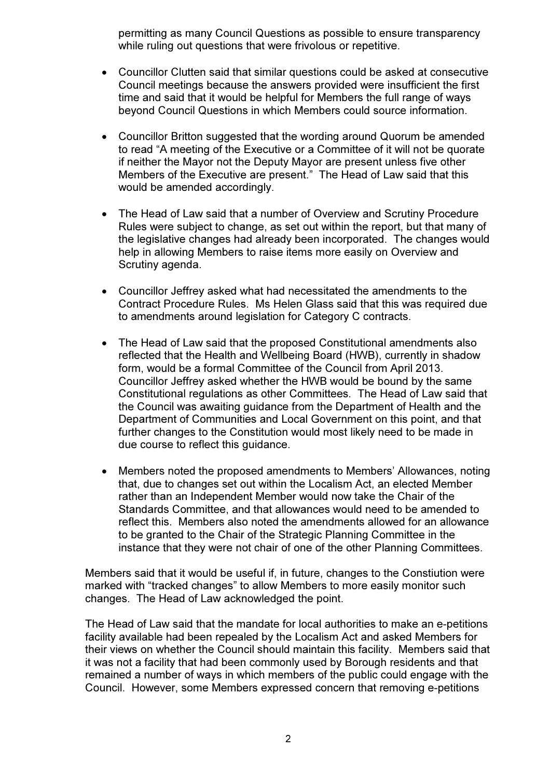permitting as many Council Questions as possible to ensure transparency while ruling out questions that were frivolous or repetitive.

- Councillor Clutten said that similar questions could be asked at consecutive Council meetings because the answers provided were insufficient the first time and said that it would be helpful for Members the full range of ways beyond Council Questions in which Members could source information.
- Councillor Britton suggested that the wording around Quorum be amended to read "A meeting of the Executive or a Committee of it will not be quorate if neither the Mayor not the Deputy Mayor are present unless five other Members of the Executive are present." The Head of Law said that this would be amended accordingly.
- The Head of Law said that a number of Overview and Scrutiny Procedure Rules were subject to change, as set out within the report, but that many of the legislative changes had already been incorporated. The changes would help in allowing Members to raise items more easily on Overview and Scrutiny agenda.
- Councillor Jeffrey asked what had necessitated the amendments to the Contract Procedure Rules. Ms Helen Glass said that this was required due to amendments around legislation for Category C contracts.
- The Head of Law said that the proposed Constitutional amendments also reflected that the Health and Wellbeing Board (HWB), currently in shadow form, would be a formal Committee of the Council from April 2013. Councillor Jeffrey asked whether the HWB would be bound by the same Constitutional regulations as other Committees. The Head of Law said that the Council was awaiting guidance from the Department of Health and the Department of Communities and Local Government on this point, and that further changes to the Constitution would most likely need to be made in due course to reflect this guidance.
- Members noted the proposed amendments to Members' Allowances, noting that, due to changes set out within the Localism Act, an elected Member rather than an Independent Member would now take the Chair of the Standards Committee, and that allowances would need to be amended to reflect this. Members also noted the amendments allowed for an allowance to be granted to the Chair of the Strategic Planning Committee in the instance that they were not chair of one of the other Planning Committees.

Members said that it would be useful if, in future, changes to the Constiution were marked with "tracked changes" to allow Members to more easily monitor such changes. The Head of Law acknowledged the point.

The Head of Law said that the mandate for local authorities to make an e-petitions facility available had been repealed by the Localism Act and asked Members for their views on whether the Council should maintain this facility. Members said that it was not a facility that had been commonly used by Borough residents and that remained a number of ways in which members of the public could engage with the Council. However, some Members expressed concern that removing e-petitions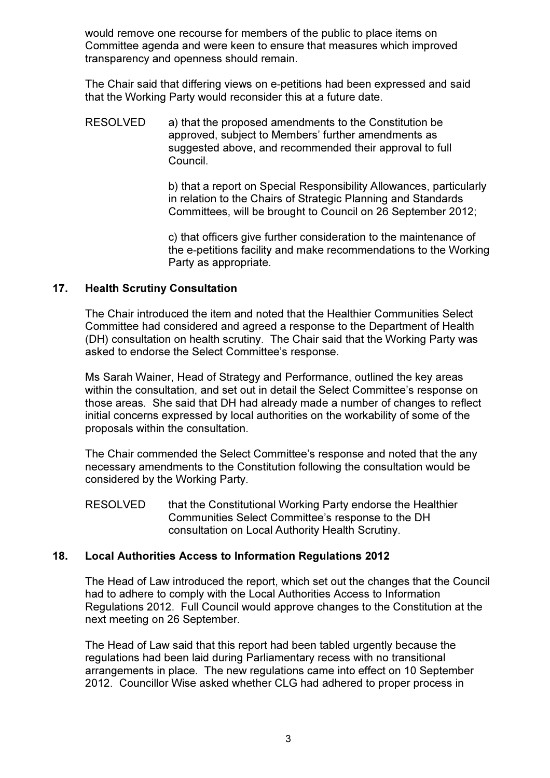would remove one recourse for members of the public to place items on Committee agenda and were keen to ensure that measures which improved transparency and openness should remain.

The Chair said that differing views on e-petitions had been expressed and said that the Working Party would reconsider this at a future date.

RESOLVED a) that the proposed amendments to the Constitution be approved, subject to Members' further amendments as suggested above, and recommended their approval to full Council.

> b) that a report on Special Responsibility Allowances, particularly in relation to the Chairs of Strategic Planning and Standards Committees, will be brought to Council on 26 September 2012;

> c) that officers give further consideration to the maintenance of the e-petitions facility and make recommendations to the Working Party as appropriate.

# 17. Health Scrutiny Consultation

The Chair introduced the item and noted that the Healthier Communities Select Committee had considered and agreed a response to the Department of Health (DH) consultation on health scrutiny. The Chair said that the Working Party was asked to endorse the Select Committee's response.

Ms Sarah Wainer, Head of Strategy and Performance, outlined the key areas within the consultation, and set out in detail the Select Committee's response on those areas. She said that DH had already made a number of changes to reflect initial concerns expressed by local authorities on the workability of some of the proposals within the consultation.

The Chair commended the Select Committee's response and noted that the any necessary amendments to the Constitution following the consultation would be considered by the Working Party.

RESOLVED that the Constitutional Working Party endorse the Healthier Communities Select Committee's response to the DH consultation on Local Authority Health Scrutiny.

# 18. Local Authorities Access to Information Regulations 2012

The Head of Law introduced the report, which set out the changes that the Council had to adhere to comply with the Local Authorities Access to Information Regulations 2012. Full Council would approve changes to the Constitution at the next meeting on 26 September.

The Head of Law said that this report had been tabled urgently because the regulations had been laid during Parliamentary recess with no transitional arrangements in place. The new regulations came into effect on 10 September 2012. Councillor Wise asked whether CLG had adhered to proper process in